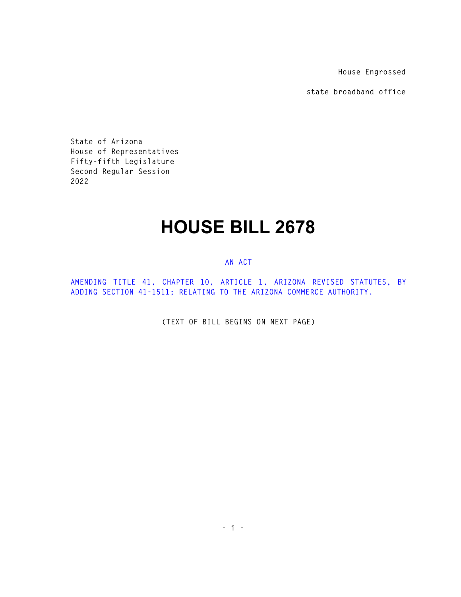**House Engrossed** 

**state broadband office** 

**State of Arizona House of Representatives Fifty-fifth Legislature Second Regular Session 2022** 

## **HOUSE BILL 2678**

## **AN ACT**

**AMENDING TITLE 41, CHAPTER 10, ARTICLE 1, ARIZONA REVISED STATUTES, BY ADDING SECTION 41-1511; RELATING TO THE ARIZONA COMMERCE AUTHORITY.** 

**(TEXT OF BILL BEGINS ON NEXT PAGE)**